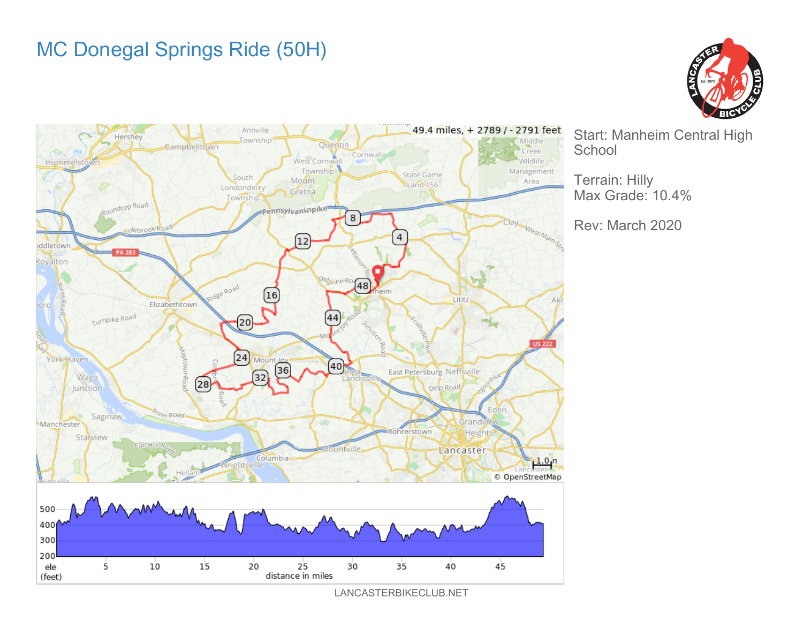## MC Donegal Springs Ride (50H)





Start: Manheim Central High **School** 

Rev: March 2020

Terrain: Hilly Max Grade: 10.4%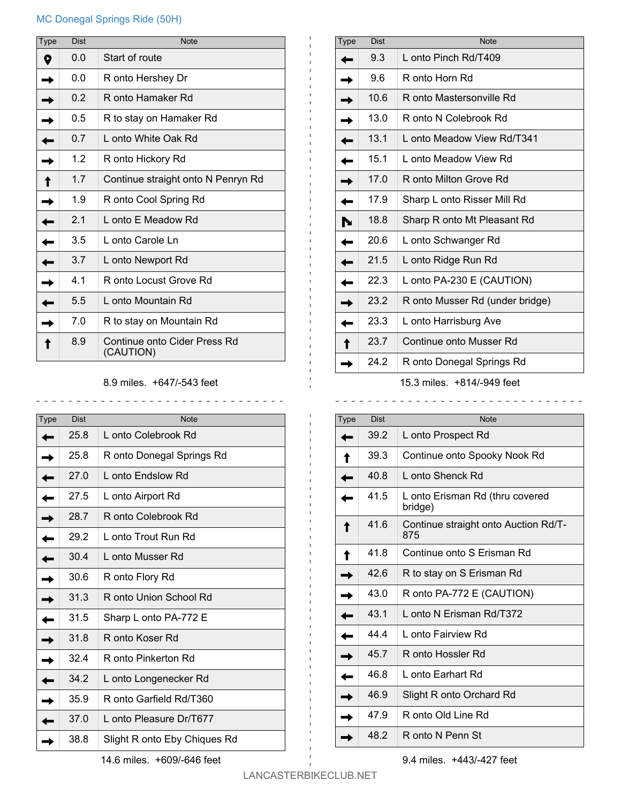## MC Donegal Springs Ride (50H)

| Type | <b>Dist</b> | <b>Note</b>                               |
|------|-------------|-------------------------------------------|
|      | 0.0         | Start of route                            |
|      | 0.0         | R onto Hershey Dr                         |
|      | 0.2         | R onto Hamaker Rd                         |
|      | 0.5         | R to stay on Hamaker Rd                   |
|      | 0.7         | L onto White Oak Rd                       |
|      | 1.2         | R onto Hickory Rd                         |
|      | 1.7         | Continue straight onto N Penryn Rd        |
|      | 1.9         | R onto Cool Spring Rd                     |
|      | 2.1         | L onto E Meadow Rd                        |
|      | 3.5         | L onto Carole Ln                          |
|      | 3.7         | L onto Newport Rd                         |
|      | 4.1         | R onto Locust Grove Rd                    |
|      | 5.5         | L onto Mountain Rd                        |
|      | 7.0         | R to stay on Mountain Rd                  |
|      | 8.9         | Continue onto Cider Press Rd<br>(CAUTION) |

8.9 miles. +647/-543 feet

\_\_\_\_\_\_\_\_\_\_\_\_\_\_\_\_\_\_\_\_\_\_\_\_\_\_\_\_\_\_\_\_

| <b>Type</b> | Dist | <b>Note</b>                  |
|-------------|------|------------------------------|
|             | 25.8 | L onto Colebrook Rd          |
|             | 25.8 | R onto Donegal Springs Rd    |
|             | 27.0 | L onto Endslow Rd            |
|             | 27.5 | L onto Airport Rd            |
|             | 28.7 | R onto Colebrook Rd          |
|             | 29.2 | L onto Trout Run Rd          |
|             | 30.4 | L onto Musser Rd             |
|             | 30.6 | R onto Flory Rd              |
|             | 31.3 | R onto Union School Rd       |
|             | 31.5 | Sharp L onto PA-772 E        |
|             | 31.8 | R onto Koser Rd              |
|             | 32.4 | R onto Pinkerton Rd          |
|             | 34.2 | L onto Longenecker Rd        |
|             | 35.9 | R onto Garfield Rd/T360      |
|             | 37.0 | L onto Pleasure Dr/T677      |
|             | 38.8 | Slight R onto Eby Chiques Rd |

| <b>Type</b>                  | <b>Dist</b> | <b>Note</b>                     |  |
|------------------------------|-------------|---------------------------------|--|
|                              | 9.3         | L onto Pinch Rd/T409            |  |
|                              | 9.6         | R onto Horn Rd                  |  |
|                              | 10.6        | R onto Mastersonville Rd        |  |
|                              | 13.0        | R onto N Colebrook Rd           |  |
|                              | 13.1        | L onto Meadow View Rd/T341      |  |
|                              | 15.1        | L onto Meadow View Rd           |  |
|                              | 17.0        | R onto Milton Grove Rd          |  |
|                              | 17.9        | Sharp L onto Risser Mill Rd     |  |
|                              | 18.8        | Sharp R onto Mt Pleasant Rd     |  |
|                              | 20.6        | L onto Schwanger Rd             |  |
|                              | 21.5        | L onto Ridge Run Rd             |  |
|                              | 22.3        | L onto PA-230 E (CAUTION)       |  |
|                              | 23.2        | R onto Musser Rd (under bridge) |  |
|                              | 23.3        | L onto Harrisburg Ave           |  |
|                              | 23.7        | Continue onto Musser Rd         |  |
|                              | 24.2        | R onto Donegal Springs Rd       |  |
| $15.2$ miles $10111010$ fast |             |                                 |  |

15.3 miles. +814/-949 feet

| Type | <b>Dist</b> | <b>Note</b>                                 |
|------|-------------|---------------------------------------------|
|      | 39.2        | L onto Prospect Rd                          |
|      | 39.3        | Continue onto Spooky Nook Rd                |
|      | 40.8        | L onto Shenck Rd                            |
|      | 41.5        | L onto Erisman Rd (thru covered<br>bridge)  |
|      | 41.6        | Continue straight onto Auction Rd/T-<br>875 |
|      | 41.8        | Continue onto S Erisman Rd                  |
|      | 42.6        | R to stay on S Erisman Rd                   |
|      | 43.0        | R onto PA-772 E (CAUTION)                   |
|      | 43.1        | L onto N Erisman Rd/T372                    |
|      | 44.4        | L onto Fairview Rd                          |
|      | 45.7        | R onto Hossler Rd                           |
|      | 46.8        | L onto Earhart Rd                           |
|      | 46.9        | Slight R onto Orchard Rd                    |
|      | 47.9        | R onto Old Line Rd                          |
|      | 48.2        | R onto N Penn St                            |

9.4 miles. +443/-427 feet

 $\mathbf{L}$ 

 $\frac{1}{2}$ 

14.6 miles. +609/-646 feet